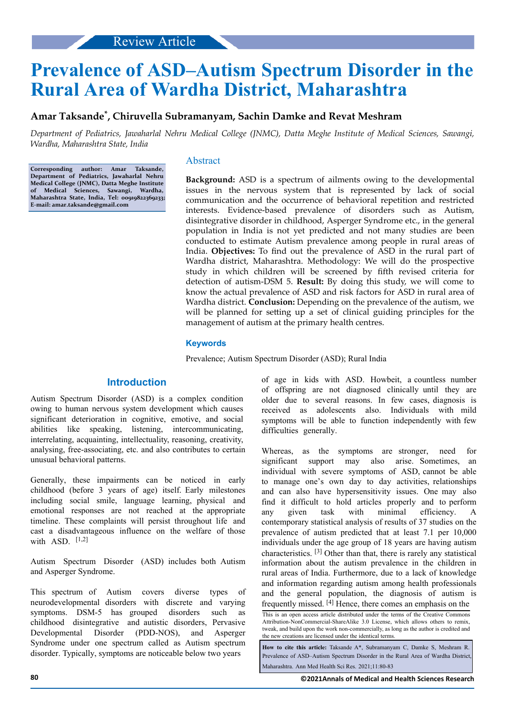# **Prevalence of ASD–Autism Spectrum Disorder in the Rural Area of Wardha District, Maharashtra**

# **Amar Taksande\* , Chiruvella Subramanyam, Sachin Damke and Revat Meshram**

*Department of Pediatrics, Jawaharlal Nehru Medical College (JNMC), Datta Meghe Institute of Medical Sciences, Sawangi, Wardha, Maharashtra State, India*

**Corresponding author: Amar Taksande, Department of Pediatrics, Jawaharlal Nehru Medical College (JNMC), Datta Meghe Institute of Medical Sciences, Sawangi, Wardha, Maharashtra State, India, Tel: 00919822369233; E-mail: [amar.taksande@gmail.com](mailto:amar.taksande@gmail.com)**

## Abstract

**Background:** ASD is a spectrum of ailments owing to the developmental issues in the nervous system that is represented by lack of social communication and the occurrence of behavioral repetition and restricted interests. Evidence-based prevalence of disorders such as Autism, disintegrative disorder in childhood, Asperger Syndrome etc., in the general population in India is not yet predicted and not many studies are been conducted to estimate Autism prevalence among people in rural areas of India. **Objectives:** To find out the prevalence of ASD in the rural part of Wardha district, Maharashtra. Methodology: We will do the prospective study in which children will be screened by fifth revised criteria for detection of autism-DSM 5. **Result:** By doing this study, we will come to know the actual prevalence of ASD and risk factors for ASD in rural area of Wardha district. **Conclusion:** Depending on the prevalence of the autism, we will be planned for setting up a set of clinical guiding principles for the management of autism at the primary health centres.

## **Keywords**

Prevalence; Autism Spectrum Disorder (ASD); Rural India

# **Introduction**

Autism Spectrum Disorder (ASD) is a complex condition owing to human nervous system development which causes significant deterioration in cognitive, emotive, and social abilities like speaking, listening, intercommunicating, interrelating, acquainting, intellectuality, reasoning, creativity, analysing, free-associating, etc. and also contributes to certain unusual behavioral patterns.

Generally, these impairments can be noticed in early childhood (before 3 years of age) itself. Early milestones including social smile, language learning, physical and emotional responses are not reached at the appropriate timeline. These complaints will persist throughout life and cast a disadvantageous influence on the welfare of those with  $ASD$ .  $[1,2]$ 

Autism Spectrum Disorder (ASD) includes both Autism and Asperger Syndrome.

This spectrum of Autism covers diverse types of neurodevelopmental disorders with discrete and varying symptoms. DSM-5 has grouped disorders such as childhood disintegrative and autistic disorders, Pervasive Developmental Disorder (PDD-NOS), and Asperger Syndrome under one spectrum called as Autism spectrum disorder. Typically, symptoms are noticeable below two years

of age in kids with ASD. Howbeit, a countless number of offspring are not diagnosed clinically until they are older due to several reasons. In few cases, diagnosis is received as adolescents also. Individuals with mild symptoms will be able to function independently with few difficulties generally.

Whereas, as the symptoms are stronger, need for significant support may also arise. Sometimes, an individual with severe symptoms of ASD, cannot be able to manage one's own day to day activities, relationships and can also have hypersensitivity issues. One may also find it difficult to hold articles properly and to perform any given task with minimal efficiency. A contemporary statistical analysis of results of 37 studies on the prevalence of autism predicted that at least 7.1 per 10,000 individuals under the age group of 18 years are having autism characteristics. [3] Other than that, there is rarely any statistical information about the autism prevalence in the children in rural areas of India. Furthermore, due to a lack of knowledge and information regarding autism among health professionals and the general population, the diagnosis of autism is frequently missed.  $[4]$  Hence, there comes an emphasis on the

**How to cite this article:** Taksande A\*, Subramanyam C, Damke S, Meshram R. Prevalence of ASD–Autism Spectrum Disorder in the Rural Area of Wardha District, Maharashtra. Ann Med Health Sci Res. 2021;11:80-83

This is an open access article distributed under the terms of the Creative Commons Attribution‑NonCommercial‑ShareAlike 3.0 License, which allows others to remix, tweak, and build upon the work non‑commercially, as long as the author is credited and the new creations are licensed under the identical terms.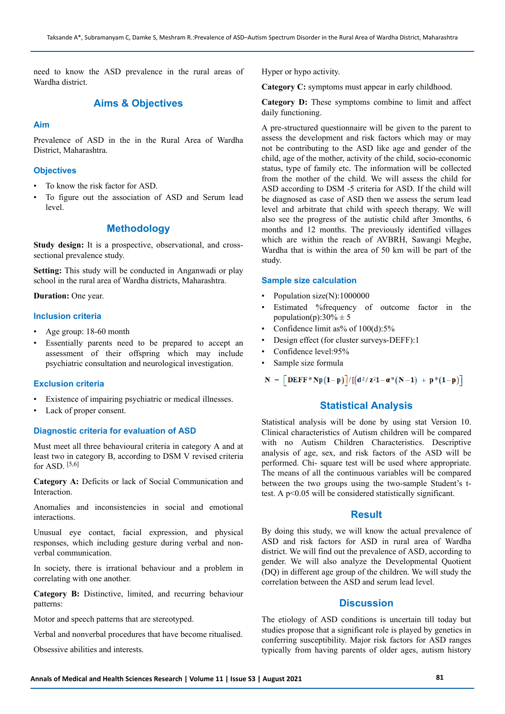need to know the ASD prevalence in the rural areas of Wardha district.

# **Aims & Objectives**

# **Aim**

Prevalence of ASD in the in the Rural Area of Wardha District, Maharashtra.

## **Objectives**

- To know the risk factor for ASD.
- To figure out the association of ASD and Serum lead level.

## **Methodology**

**Study design:** It is a prospective, observational, and crosssectional prevalence study.

**Setting:** This study will be conducted in Anganwadi or play school in the rural area of Wardha districts, Maharashtra.

**Duration:** One year.

#### **Inclusion criteria**

- Age group: 18-60 month
- Essentially parents need to be prepared to accept an assessment of their offspring which may include psychiatric consultation and neurological investigation.

## **Exclusion criteria**

- Existence of impairing psychiatric or medical illnesses.
- Lack of proper consent.

## **Diagnostic criteria for evaluation of ASD**

Must meet all three behavioural criteria in category A and at least two in category B, according to DSM V revised criteria for ASD. [5,6]

**Category A:** Deficits or lack of Social Communication and Interaction.

Anomalies and inconsistencies in social and emotional interactions.

Unusual eye contact, facial expression, and physical responses, which including gesture during verbal and nonverbal communication.

In society, there is irrational behaviour and a problem in correlating with one another.

**Category B:** Distinctive, limited, and recurring behaviour patterns:

Motor and speech patterns that are stereotyped.

Verbal and nonverbal procedures that have become ritualised.

Obsessive abilities and interests.

Hyper or hypo activity.

**Category C:** symptoms must appear in early childhood.

**Category D:** These symptoms combine to limit and affect daily functioning.

A pre-structured questionnaire will be given to the parent to assess the development and risk factors which may or may not be contributing to the ASD like age and gender of the child, age of the mother, activity of the child, socio-economic status, type of family etc. The information will be collected from the mother of the child. We will assess the child for ASD according to DSM -5 criteria for ASD. If the child will be diagnosed as case of ASD then we assess the serum lead level and arbitrate that child with speech therapy. We will also see the progress of the autistic child after 3months, 6 months and 12 months. The previously identified villages which are within the reach of AVBRH, Sawangi Meghe, Wardha that is within the area of 50 km will be part of the study.

#### **Sample size calculation**

- Population size(N):1000000
- Estimated %frequency of outcome factor in the population(p): $30\% \pm 5$
- Confidence limit as% of  $100(d)$ :5%
- Design effect (for cluster surveys-DEFF):1
- Confidence level:95%
- Sample size formula

 $N = \left[DEFF * Np(1-p)\right]/[(d^2/z^21 - \alpha * (N-1) + p * (1-p))]$ 

# **Statistical Analysis**

Statistical analysis will be done by using stat Version 10. Clinical characteristics of Autism children will be compared with no Autism Children Characteristics. Descriptive analysis of age, sex, and risk factors of the ASD will be performed. Chi- square test will be used where appropriate. The means of all the continuous variables will be compared between the two groups using the two-sample Student's ttest. A p<0.05 will be considered statistically significant.

## **Result**

By doing this study, we will know the actual prevalence of ASD and risk factors for ASD in rural area of Wardha district. We will find out the prevalence of ASD, according to gender. We will also analyze the Developmental Quotient (DQ) in different age group of the children. We will study the correlation between the ASD and serum lead level.

# **Discussion**

The etiology of ASD conditions is uncertain till today but studies propose that a significant role is played by genetics in conferring susceptibility. Major risk factors for ASD ranges typically from having parents of older ages, autism history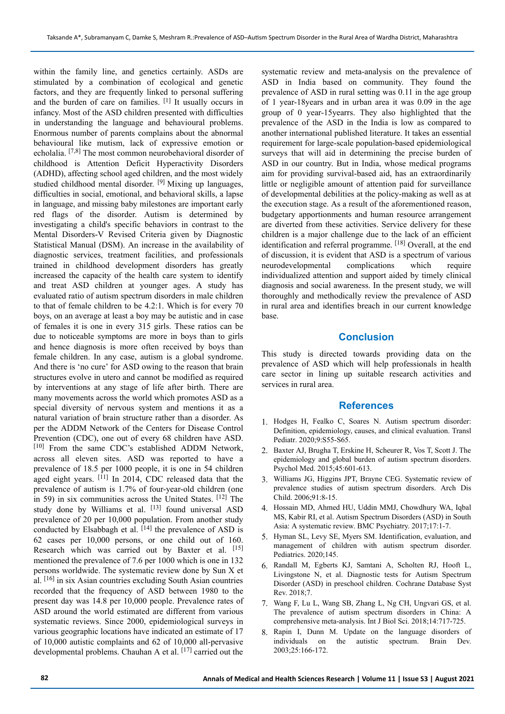within the family line, and genetics certainly. ASDs are stimulated by a combination of ecological and genetic factors, and they are frequently linked to personal suffering and the burden of care on families.  $[1]$  It usually occurs in infancy. Most of the ASD children presented with difficulties in understanding the language and behavioural problems. Enormous number of parents complains about the abnormal behavioural like mutism, lack of expressive emotion or echolalia. [7,8] The most common neurobehavioral disorder of childhood is Attention Deficit Hyperactivity Disorders (ADHD), affecting school aged children, and the most widely studied childhood mental disorder. <sup>[9]</sup> Mixing up languages, difficulties in social, emotional, and behavioral skills, a lapse in language, and missing baby milestones are important early red flags of the disorder. Autism is determined by investigating a child's specific behaviors in contrast to the Mental Disorders-V Revised Criteria given by Diagnostic Statistical Manual (DSM). An increase in the availability of diagnostic services, treatment facilities, and professionals trained in childhood development disorders has greatly increased the capacity of the health care system to identify and treat ASD children at younger ages. A study has evaluated ratio of autism spectrum disorders in male children to that of female children to be 4.2:1. Which is for every 70 boys, on an average at least a boy may be autistic and in case of females it is one in every 315 girls. These ratios can be due to noticeable symptoms are more in boys than to girls and hence diagnosis is more often received by boys than female children. In any case, autism is a global syndrome. And there is 'no cure' for ASD owing to the reason that brain structures evolve in utero and cannot be modified as required by interventions at any stage of life after birth. There are many movements across the world which promotes ASD as a special diversity of nervous system and mentions it as a natural variation of brain structure rather than a disorder. As per the ADDM Network of the Centers for Disease Control Prevention (CDC), one out of every 68 children have ASD. [10] From the same CDC's established ADDM Network, across all eleven sites. ASD was reported to have a prevalence of 18.5 per 1000 people, it is one in 54 children aged eight years. [11] In 2014, CDC released data that the prevalence of autism is 1.7% of four-year-old children (one in 59) in six communities across the United States. [12] The study done by Williams et al. [13] found universal ASD prevalence of 20 per 10,000 population. From another study conducted by Elsabbagh et al.  $[14]$  the prevalence of ASD is 62 cases per 10,000 persons, or one child out of 160. Research which was carried out by Baxter et al. [15] mentioned the prevalence of 7.6 per 1000 which is one in 132 persons worldwide. The systematic review done by Sun X et al. [16] in six Asian countries excluding South Asian countries recorded that the frequency of ASD between 1980 to the present day was 14.8 per 10,000 people. Prevalence rates of ASD around the world estimated are different from various systematic reviews. Since 2000, epidemiological surveys in various geographic locations have indicated an estimate of 17 of 10,000 autistic complaints and 62 of 10,000 all-pervasive developmental problems. Chauhan A et al. [17] carried out the systematic review and meta-analysis on the prevalence of ASD in India based on community. They found the prevalence of ASD in rural setting was 0.11 in the age group of 1 year-18years and in urban area it was 0.09 in the age group of 0 year-15yearrs. They also highlighted that the prevalence of the ASD in the India is low as compared to another international published literature. It takes an essential requirement for large-scale population-based epidemiological surveys that will aid in determining the precise burden of ASD in our country. But in India, whose medical programs aim for providing survival-based aid, has an extraordinarily little or negligible amount of attention paid for surveillance of developmental debilities at the policy-making as well as at the execution stage. As a result of the aforementioned reason, budgetary apportionments and human resource arrangement are diverted from these activities. Service delivery for these children is a major challenge due to the lack of an efficient identification and referral programme. [18] Overall, at the end of discussion, it is evident that ASD is a spectrum of various neurodevelopmental complications which require individualized attention and support aided by timely clinical diagnosis and social awareness. In the present study, we will thoroughly and methodically review the prevalence of ASD in rural area and identifies breach in our current knowledge base.

# **Conclusion**

This study is directed towards providing data on the prevalence of ASD which will help professionals in health care sector in lining up suitable research activities and services in rural area.

## **References**

- 1. Hodges H, Fealko C, Soares N. Autism spectrum disorder: Definition, epidemiology, causes, and clinical evaluation. Transl Pediatr. 2020;9:S55-S65.
- 2. Baxter AJ, Brugha T, Erskine H, Scheurer R, Vos T, Scott J. The epidemiology and global burden of autism spectrum disorders. Psychol Med. 2015;45:601-613.
- 3. Williams JG, Higgins JPT, Brayne CEG. Systematic review of prevalence studies of autism spectrum disorders. Arch Dis Child. 2006;91:8-15.
- 4. Hossain MD, Ahmed HU, Uddin MMJ, Chowdhury WA, Iqbal MS, Kabir RI, et al. Autism Spectrum Disorders (ASD) in South Asia: A systematic review. BMC Psychiatry. 2017;17:1-7.
- 5. Hyman SL, Levy SE, Myers SM. Identification, evaluation, and management of children with autism spectrum disorder. Pediatrics. 2020;145.
- 6. Randall M, Egberts KJ, Samtani A, Scholten RJ, Hooft L, Livingstone N, et al. Diagnostic tests for Autism Spectrum Disorder (ASD) in preschool children. Cochrane Database Syst Rev. 2018;7.
- 7. Wang F, Lu L, Wang SB, Zhang L, Ng CH, Ungvari GS, et al. The prevalence of autism spectrum disorders in China: A comprehensive meta-analysis. Int J Biol Sci. 2018;14:717-725.
- 8. Rapin I, Dunn M. Update on the language disorders of the autistic spectrum. Brain Dev. 2003;25:166-172.